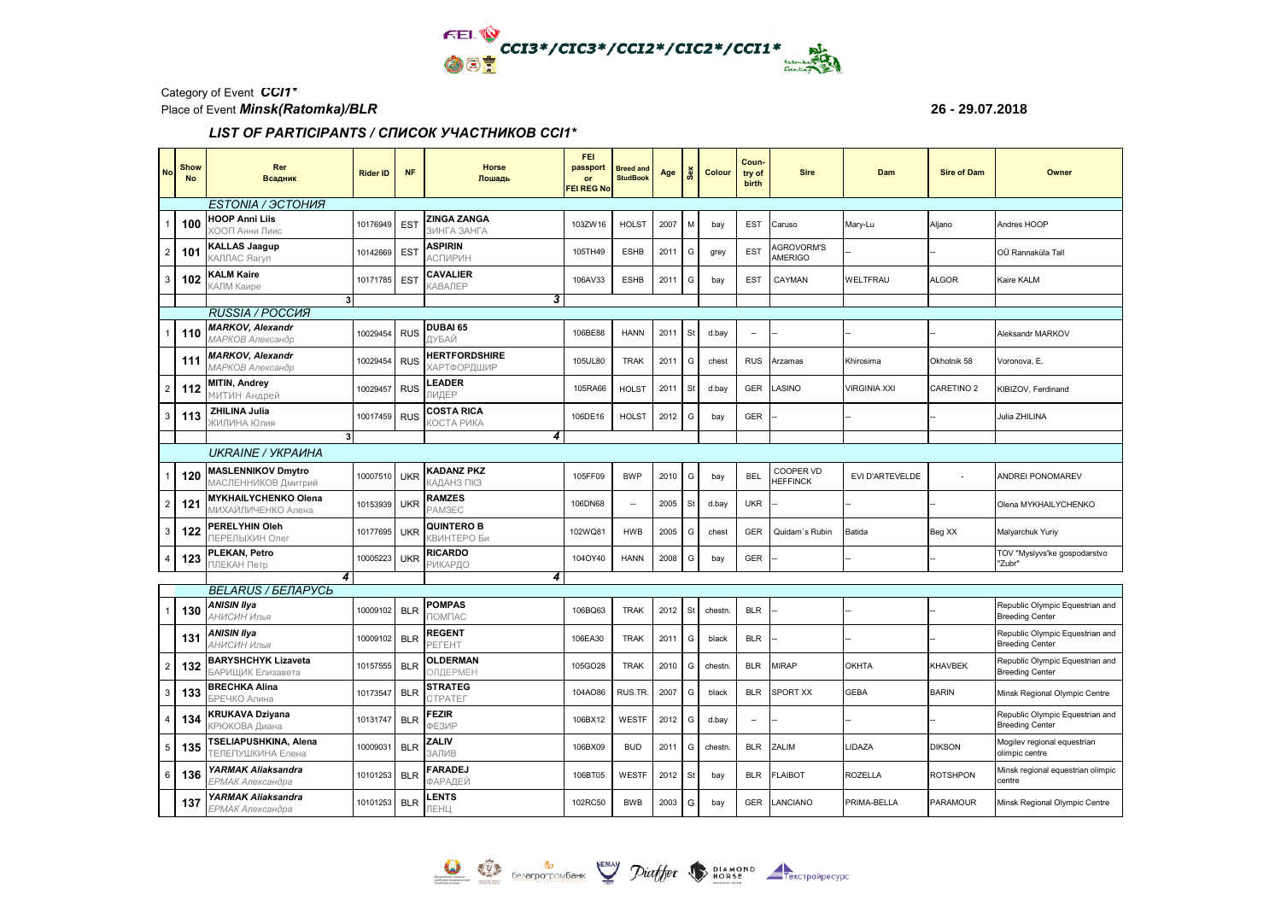

## Category of Event CCI1\* Place of Event Minsk(Ratomka)/BLR

## 26 - 29.07.2018

## LIST OF PARTICIPANTS / СПИСОК УЧАСТНИКОВ ССІ1\*

| <b>No</b>               | Show<br><b>No</b> | Rer<br>Всадник                                   | <b>Rider ID</b> | <b>NF</b>       | <b>Horse</b><br>Лошадь                     | FEI<br>passport<br>or<br><b>FEI REG No</b> | <b>Breed and</b><br><b>StudBook</b> | Age  | s <sub>ex</sub> | Colour  | Coun-<br>try of<br>birth | <b>Sire</b>                  | Dam                 | <b>Sire of Dam</b>    | Owner                                                     |
|-------------------------|-------------------|--------------------------------------------------|-----------------|-----------------|--------------------------------------------|--------------------------------------------|-------------------------------------|------|-----------------|---------|--------------------------|------------------------------|---------------------|-----------------------|-----------------------------------------------------------|
|                         | ESTONIA / ЭСТОНИЯ |                                                  |                 |                 |                                            |                                            |                                     |      |                 |         |                          |                              |                     |                       |                                                           |
|                         | 100               | <b>HOOP Anni Liis</b><br>ХООП Анни Лиис          | 10176949        | ES <sub>1</sub> | <b>ZINGA ZANGA</b><br>ЗИНГА ЗАНГА          | 103ZW16                                    | <b>HOLST</b>                        | 2007 | м               | bay     | <b>EST</b>               | Caruso                       | Mary-Lu             | Aljano                | Andres HOOP                                               |
| $\overline{2}$          | 101               | <b>KALLAS Jaagup</b><br>КАЛЛАС Яагуп             | 10142669        | ES <sub>1</sub> | <b>ASPIRIN</b><br>АСПИРИН                  | 105TH49                                    | <b>ESHB</b>                         | 2011 | G               | grey    | <b>EST</b>               | <b>AGROVORM'S</b><br>AMERIGO |                     |                       | OÜ Rannaküla Tall                                         |
| 3                       | 102               | KALM Kaire<br>КАЛМ Каире                         | 10171785        | <b>EST</b>      | <b>CAVALIER</b><br><b>«АВАЛЕР</b>          | 106AV33                                    | <b>ESHB</b>                         | 2011 | G               | bay     | EST                      | CAYMAN                       | WELTFRAU            | <b>ALGOR</b>          | Kaire KALM                                                |
|                         |                   | 3                                                |                 |                 | 3                                          |                                            |                                     |      |                 |         |                          |                              |                     |                       |                                                           |
|                         | RUSSIA / POCCUR   |                                                  |                 |                 |                                            |                                            |                                     |      |                 |         |                          |                              |                     |                       |                                                           |
|                         | 110               | <b>MARKOV, Alexandr</b><br>МАРКОВ Александр      | 10029454        | <b>RUS</b>      | DUBAI 65<br>ЛУБАЙ                          | 106BE88                                    | <b>HANN</b>                         | 2011 | St              | d.bay   | $\overline{\phantom{a}}$ |                              |                     |                       | Aleksandr MARKOV                                          |
|                         | 111               | <b>MARKOV, Alexandr</b><br>МАРКОВ Александр      | 10029454        | <b>RUS</b>      | <b>HERTFORDSHIRE</b><br><b>ХАРТФОРДШИР</b> | 105UL80                                    | <b>TRAK</b>                         | 2011 | G               | chest   | <b>RUS</b>               | Arzamas                      | Khirosima           | Okhotnik 58           | Voronova, E.                                              |
| $\overline{2}$          | 112               | MITIN, Andrey<br>МИТИН Андрей                    | 10029457        | <b>RUS</b>      | <b>EADER</b><br>ЛИДЕР                      | 105RA66                                    | <b>HOLST</b>                        | 2011 | St              | d.bay   | <b>GER</b>               | LASINO                       | <b>VIRGINIA XXI</b> | CARETINO <sub>2</sub> | KIBIZOV, Ferdinand                                        |
| 3                       | 113               | ZHILINA Julia<br>ЖИЛИНА Юлия                     | 10017459        | <b>RUS</b>      | <b>COSTA RICA</b><br>ОСТА РИКА             | 106DE16                                    | <b>HOLST</b>                        | 2012 | G               | bay     | GER                      |                              |                     |                       | Julia ZHILINA                                             |
|                         |                   | 3                                                |                 |                 | 4                                          |                                            |                                     |      |                 |         |                          |                              |                     |                       |                                                           |
|                         |                   | <b>UKRAINE / УКРАИНА</b>                         |                 |                 |                                            |                                            |                                     |      |                 |         |                          |                              |                     |                       |                                                           |
|                         | 120               | <b>MASLENNIKOV Dmytro</b><br>МАСЛЕННИКОВ Дмитрий | 10007510        | <b>UKR</b>      | <b>KADANZ PKZ</b><br>КАДАНЗ ПКЗ            | 105FF09                                    | <b>BWP</b>                          | 2010 | G               | bay     | <b>BEL</b>               | COOPER VD<br><b>HEFFINCK</b> | EVI D'ARTEVELDE     |                       | ANDREI PONOMAREV                                          |
| 2                       | 121               | MYKHAILYCHENKO Olena<br>МИХАЙЛИЧЕНКО Алена       | 10153939        | UKR             | <b>RAMZES</b><br>PAM3EC                    | 106DN68                                    | $\overline{\phantom{a}}$            | 2005 | St              | d.bay   | <b>UKR</b>               |                              |                     |                       | Olena MYKHAILYCHENKO                                      |
| 3                       | 122               | PERELYHIN Oleh<br>ПЕРЕЛЫХИН Олег                 | 10177695        | UKR             | <b>QUINTERO B</b><br>КВИНТЕРО Би           | 102WQ81                                    | <b>HWB</b>                          | 2005 | G               | chest   | GER                      | Quidam's Rubin               | Batida              | Beg XX                | Malyarchuk Yuriy                                          |
| 4                       | 123               | PLEKAN, Petro<br>ПЛЕКАН Петр                     | 10005223        | <b>UKR</b>      | <b>RICARDO</b><br><b>РИКАРДО</b>           | 104OY40                                    | <b>HANN</b>                         | 2008 | G               | bay     | GER                      |                              |                     |                       | TOV "Myslyvs'ke gospodarstvo<br>"Zubr"                    |
|                         |                   | 4                                                |                 |                 | 4                                          |                                            |                                     |      |                 |         |                          |                              |                     |                       |                                                           |
|                         |                   | <b>BELARUS / БЕЛАРУСЬ</b>                        |                 |                 |                                            |                                            |                                     |      |                 |         |                          |                              |                     |                       |                                                           |
|                         | 130               | <b>ANISIN Ilya</b><br>АНИСИН Илья                | 10009102        | <b>BLR</b>      | <b>POMPAS</b><br><b>TOMFIAC</b>            | 106BQ63                                    | <b>TRAK</b>                         | 2012 | St              | chestn. | <b>BLR</b>               |                              |                     |                       | Republic Olympic Equestrian and<br><b>Breeding Center</b> |
|                         | 131               | ANISIN Ilya<br>АНИСИН Илья                       | 10009102        | <b>BLR</b>      | <b>REGENT</b><br>PELEHT                    | 106EA30                                    | <b>TRAK</b>                         | 2011 | G               | black   | <b>BLR</b>               |                              |                     |                       | Republic Olympic Equestrian and<br><b>Breeding Center</b> |
| $\overline{\mathbf{c}}$ | 132               | <b>BARYSHCHYK Lizaveta</b><br>БАРИЩИК Елизавета  | 10157555        | <b>BLR</b>      | <b>OLDERMAN</b><br>ОЛДЕРМЕН                | 105GO28                                    | <b>TRAK</b>                         | 2010 | G               | chestn  | <b>BLR</b>               | <b>MIRAP</b>                 | OKHTA               | KHAVBEK               | Republic Olympic Equestrian and<br><b>Breeding Center</b> |
| 3                       | 133               | <b>BRECHKA Alina</b><br>БРЕЧКО Алина             | 10173547        | <b>BLR</b>      | <b>STRATEG</b><br><b>CTPATED</b>           | 104AO86                                    | RUS.TR                              | 2007 | G               | black   | <b>BLR</b>               | <b>SPORT XX</b>              | <b>GEBA</b>         | <b>BARIN</b>          | Minsk Regional Olympic Centre                             |
| 4                       | 134               | KRUKAVA Dziyana<br>КРЮКОВА Диана                 | 10131747        | <b>BLR</b>      | <b>FEZIR</b><br>ФЕЗИР                      | 106BX12                                    | WESTF                               | 2012 | G               | d.bay   | $\overline{\phantom{a}}$ |                              |                     |                       | Republic Olympic Equestrian and<br><b>Breeding Center</b> |
| 5                       | 135               | TSELIAPUSHKINA, Alena<br>ГЕЛЕПУШКИНА Елена       | 10009031        | <b>BLR</b>      | ZALIV<br>ЗАЛИВ                             | 106BX09                                    | <b>BUD</b>                          | 2011 | G               | chestn. | <b>BLR</b>               | ZALIM                        | LIDAZA              | <b>DIKSON</b>         | Mogilev regional equestrian<br>olimpic centre             |
| 6                       | 136               | YARMAK Aliaksandra<br>ЕРМАК Александра           | 10101253        | <b>BLR</b>      | <b>FARADEJ</b><br>ФАРАДЕЙ                  | 106BT05                                    | WESTF                               | 2012 | St              | bay     | <b>BLR</b>               | <b>FLAIBOT</b>               | ROZELLA             | <b>ROTSHPON</b>       | Minsk regional equestrian olimpic<br>centre               |
|                         | 137               | YARMAK Aliaksandra<br>ЕРМАК Александра           | 10101253        | <b>BLR</b>      | <b>ENTS</b><br>ЛЕНЦ                        | 102RC50                                    | <b>BWB</b>                          | 2003 | G               | bay     | <b>GER</b>               | LANCIANO                     | PRIMA-BELLA         | PARAMOUR              | Minsk Regional Olympic Centre                             |